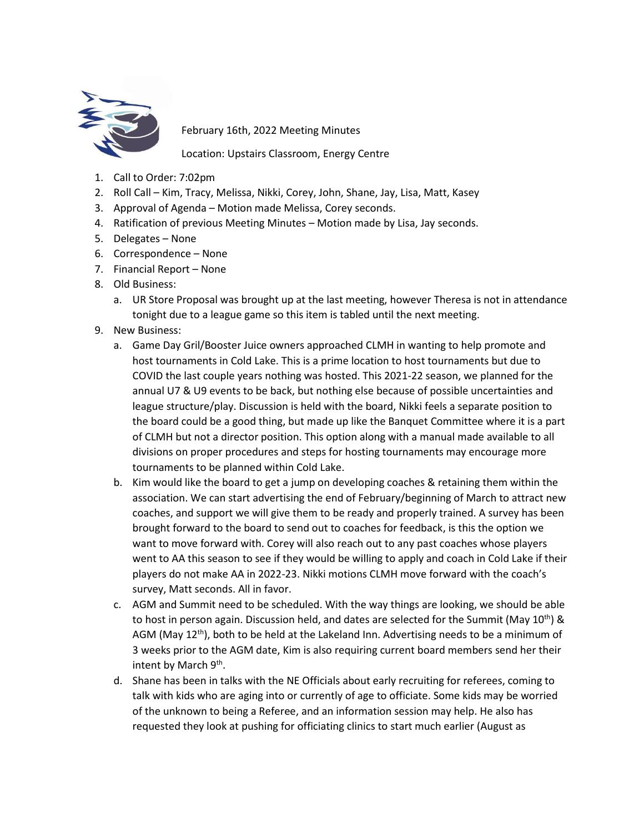

February 16th, 2022 Meeting Minutes

Location: Upstairs Classroom, Energy Centre

- 1. Call to Order: 7:02pm
- 2. Roll Call Kim, Tracy, Melissa, Nikki, Corey, John, Shane, Jay, Lisa, Matt, Kasey
- 3. Approval of Agenda Motion made Melissa, Corey seconds.
- 4. Ratification of previous Meeting Minutes Motion made by Lisa, Jay seconds.
- 5. Delegates None
- 6. Correspondence None
- 7. Financial Report None
- 8. Old Business:
	- a. UR Store Proposal was brought up at the last meeting, however Theresa is not in attendance tonight due to a league game so this item is tabled until the next meeting.
- 9. New Business:
	- a. Game Day Gril/Booster Juice owners approached CLMH in wanting to help promote and host tournaments in Cold Lake. This is a prime location to host tournaments but due to COVID the last couple years nothing was hosted. This 2021-22 season, we planned for the annual U7 & U9 events to be back, but nothing else because of possible uncertainties and league structure/play. Discussion is held with the board, Nikki feels a separate position to the board could be a good thing, but made up like the Banquet Committee where it is a part of CLMH but not a director position. This option along with a manual made available to all divisions on proper procedures and steps for hosting tournaments may encourage more tournaments to be planned within Cold Lake.
	- b. Kim would like the board to get a jump on developing coaches & retaining them within the association. We can start advertising the end of February/beginning of March to attract new coaches, and support we will give them to be ready and properly trained. A survey has been brought forward to the board to send out to coaches for feedback, is this the option we want to move forward with. Corey will also reach out to any past coaches whose players went to AA this season to see if they would be willing to apply and coach in Cold Lake if their players do not make AA in 2022-23. Nikki motions CLMH move forward with the coach's survey, Matt seconds. All in favor.
	- c. AGM and Summit need to be scheduled. With the way things are looking, we should be able to host in person again. Discussion held, and dates are selected for the Summit (May  $10^{th}$ ) & AGM (May  $12<sup>th</sup>$ ), both to be held at the Lakeland Inn. Advertising needs to be a minimum of 3 weeks prior to the AGM date, Kim is also requiring current board members send her their intent by March 9<sup>th</sup>.
	- d. Shane has been in talks with the NE Officials about early recruiting for referees, coming to talk with kids who are aging into or currently of age to officiate. Some kids may be worried of the unknown to being a Referee, and an information session may help. He also has requested they look at pushing for officiating clinics to start much earlier (August as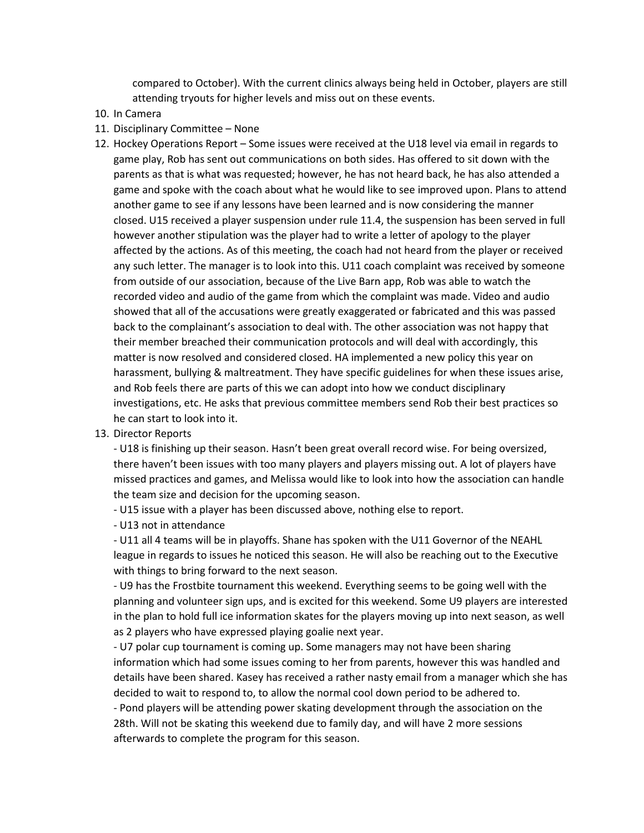compared to October). With the current clinics always being held in October, players are still attending tryouts for higher levels and miss out on these events.

- 10. In Camera
- 11. Disciplinary Committee None
- 12. Hockey Operations Report Some issues were received at the U18 level via email in regards to game play, Rob has sent out communications on both sides. Has offered to sit down with the parents as that is what was requested; however, he has not heard back, he has also attended a game and spoke with the coach about what he would like to see improved upon. Plans to attend another game to see if any lessons have been learned and is now considering the manner closed. U15 received a player suspension under rule 11.4, the suspension has been served in full however another stipulation was the player had to write a letter of apology to the player affected by the actions. As of this meeting, the coach had not heard from the player or received any such letter. The manager is to look into this. U11 coach complaint was received by someone from outside of our association, because of the Live Barn app, Rob was able to watch the recorded video and audio of the game from which the complaint was made. Video and audio showed that all of the accusations were greatly exaggerated or fabricated and this was passed back to the complainant's association to deal with. The other association was not happy that their member breached their communication protocols and will deal with accordingly, this matter is now resolved and considered closed. HA implemented a new policy this year on harassment, bullying & maltreatment. They have specific guidelines for when these issues arise, and Rob feels there are parts of this we can adopt into how we conduct disciplinary investigations, etc. He asks that previous committee members send Rob their best practices so he can start to look into it.
- 13. Director Reports

- U18 is finishing up their season. Hasn't been great overall record wise. For being oversized, there haven't been issues with too many players and players missing out. A lot of players have missed practices and games, and Melissa would like to look into how the association can handle the team size and decision for the upcoming season.

- U15 issue with a player has been discussed above, nothing else to report.

- U13 not in attendance

- U11 all 4 teams will be in playoffs. Shane has spoken with the U11 Governor of the NEAHL league in regards to issues he noticed this season. He will also be reaching out to the Executive with things to bring forward to the next season.

- U9 has the Frostbite tournament this weekend. Everything seems to be going well with the planning and volunteer sign ups, and is excited for this weekend. Some U9 players are interested in the plan to hold full ice information skates for the players moving up into next season, as well as 2 players who have expressed playing goalie next year.

- U7 polar cup tournament is coming up. Some managers may not have been sharing information which had some issues coming to her from parents, however this was handled and details have been shared. Kasey has received a rather nasty email from a manager which she has decided to wait to respond to, to allow the normal cool down period to be adhered to. - Pond players will be attending power skating development through the association on the 28th. Will not be skating this weekend due to family day, and will have 2 more sessions afterwards to complete the program for this season.